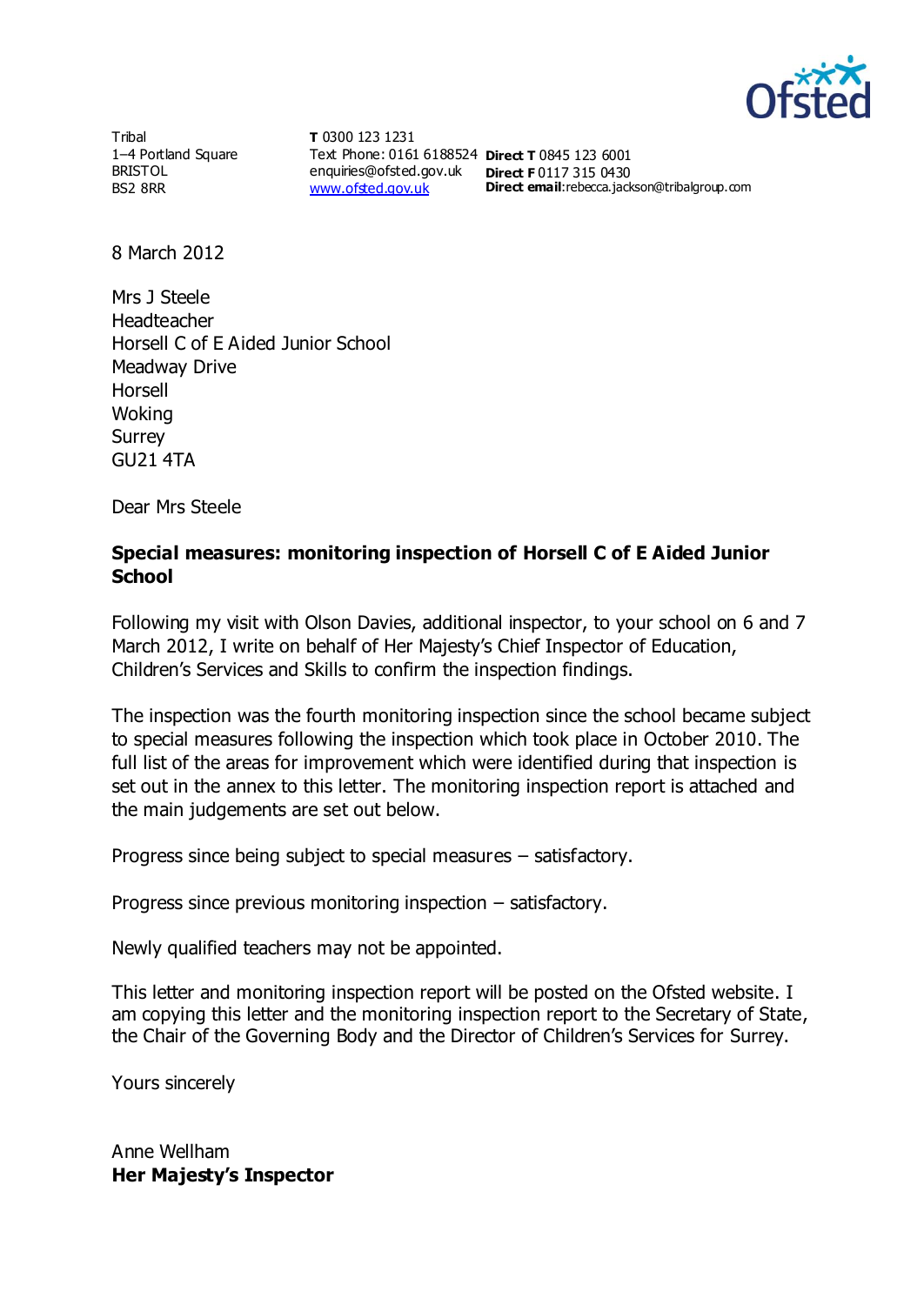

**Tribal** 1–4 Portland Square BRISTOL BS2 8RR

**T** 0300 123 1231 Text Phone: 0161 6188524 **Direct T** 0845 123 6001 enquiries@ofsted.gov.uk **Direct F** 0117 315 0430 [www.ofsted.gov.uk](http://www.ofsted.gov.uk/)

**Direct email:**rebecca.jackson@tribalgroup.com

8 March 2012

Mrs J Steele Headteacher Horsell C of E Aided Junior School Meadway Drive Horsell Woking Surrey GU21 4TA

Dear Mrs Steele

#### **Special measures: monitoring inspection of Horsell C of E Aided Junior School**

Following my visit with Olson Davies, additional inspector, to your school on 6 and 7 March 2012, I write on behalf of Her Majesty's Chief Inspector of Education, Children's Services and Skills to confirm the inspection findings.

The inspection was the fourth monitoring inspection since the school became subject to special measures following the inspection which took place in October 2010. The full list of the areas for improvement which were identified during that inspection is set out in the annex to this letter. The monitoring inspection report is attached and the main judgements are set out below.

Progress since being subject to special measures – satisfactory.

Progress since previous monitoring inspection – satisfactory.

Newly qualified teachers may not be appointed.

This letter and monitoring inspection report will be posted on the Ofsted website. I am copying this letter and the monitoring inspection report to the Secretary of State, the Chair of the Governing Body and the Director of Children's Services for Surrey.

Yours sincerely

Anne Wellham **Her Majesty's Inspector**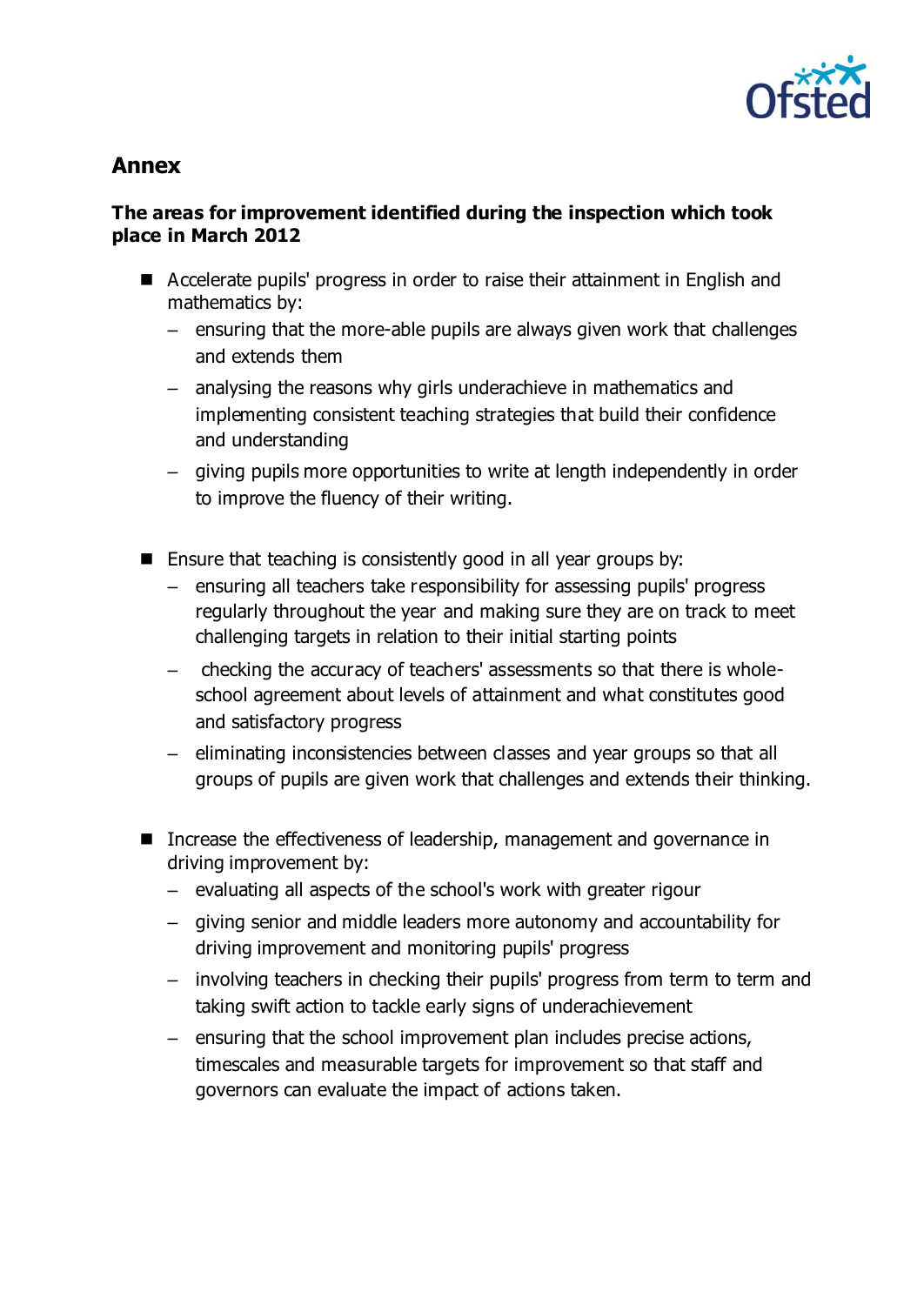

# **Annex**

### **The areas for improvement identified during the inspection which took place in March 2012**

- Accelerate pupils' progress in order to raise their attainment in English and mathematics by:
	- ensuring that the more-able pupils are always given work that challenges and extends them
	- analysing the reasons why girls underachieve in mathematics and implementing consistent teaching strategies that build their confidence and understanding
	- giving pupils more opportunities to write at length independently in order to improve the fluency of their writing.
- **Ensure that teaching is consistently good in all year groups by:** 
	- ensuring all teachers take responsibility for assessing pupils' progress regularly throughout the year and making sure they are on track to meet challenging targets in relation to their initial starting points
	- checking the accuracy of teachers' assessments so that there is wholeschool agreement about levels of attainment and what constitutes good and satisfactory progress
	- eliminating inconsistencies between classes and year groups so that all groups of pupils are given work that challenges and extends their thinking.
- Increase the effectiveness of leadership, management and governance in driving improvement by:
	- evaluating all aspects of the school's work with greater rigour
	- giving senior and middle leaders more autonomy and accountability for driving improvement and monitoring pupils' progress
	- involving teachers in checking their pupils' progress from term to term and taking swift action to tackle early signs of underachievement
	- ensuring that the school improvement plan includes precise actions, timescales and measurable targets for improvement so that staff and governors can evaluate the impact of actions taken.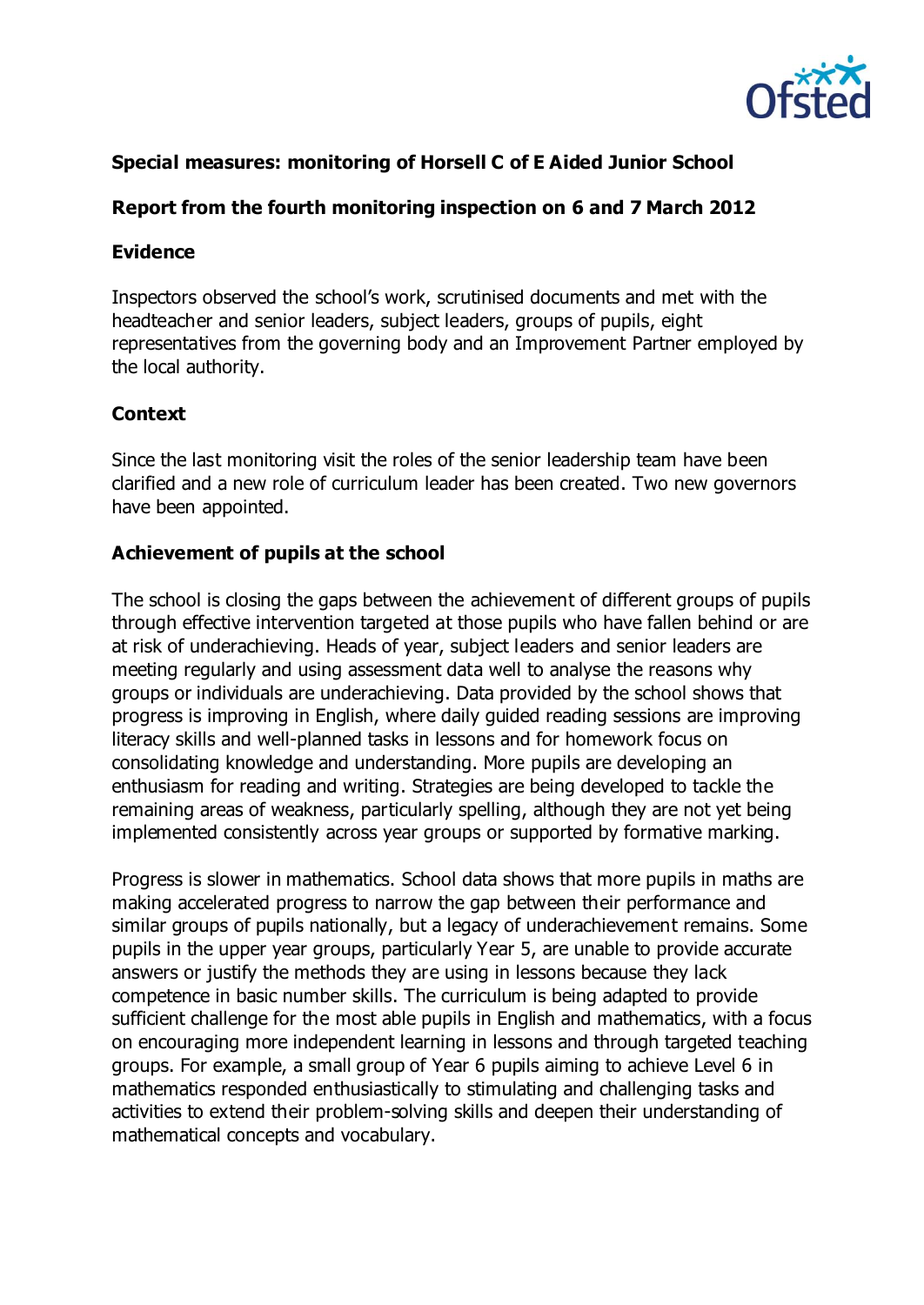

### **Special measures: monitoring of Horsell C of E Aided Junior School**

### **Report from the fourth monitoring inspection on 6 and 7 March 2012**

#### **Evidence**

Inspectors observed the school's work, scrutinised documents and met with the headteacher and senior leaders, subject leaders, groups of pupils, eight representatives from the governing body and an Improvement Partner employed by the local authority.

#### **Context**

Since the last monitoring visit the roles of the senior leadership team have been clarified and a new role of curriculum leader has been created. Two new governors have been appointed.

#### **Achievement of pupils at the school**

The school is closing the gaps between the achievement of different groups of pupils through effective intervention targeted at those pupils who have fallen behind or are at risk of underachieving. Heads of year, subject leaders and senior leaders are meeting regularly and using assessment data well to analyse the reasons why groups or individuals are underachieving. Data provided by the school shows that progress is improving in English, where daily guided reading sessions are improving literacy skills and well-planned tasks in lessons and for homework focus on consolidating knowledge and understanding. More pupils are developing an enthusiasm for reading and writing. Strategies are being developed to tackle the remaining areas of weakness, particularly spelling, although they are not yet being implemented consistently across year groups or supported by formative marking.

Progress is slower in mathematics. School data shows that more pupils in maths are making accelerated progress to narrow the gap between their performance and similar groups of pupils nationally, but a legacy of underachievement remains. Some pupils in the upper year groups, particularly Year 5, are unable to provide accurate answers or justify the methods they are using in lessons because they lack competence in basic number skills. The curriculum is being adapted to provide sufficient challenge for the most able pupils in English and mathematics, with a focus on encouraging more independent learning in lessons and through targeted teaching groups. For example, a small group of Year 6 pupils aiming to achieve Level 6 in mathematics responded enthusiastically to stimulating and challenging tasks and activities to extend their problem-solving skills and deepen their understanding of mathematical concepts and vocabulary.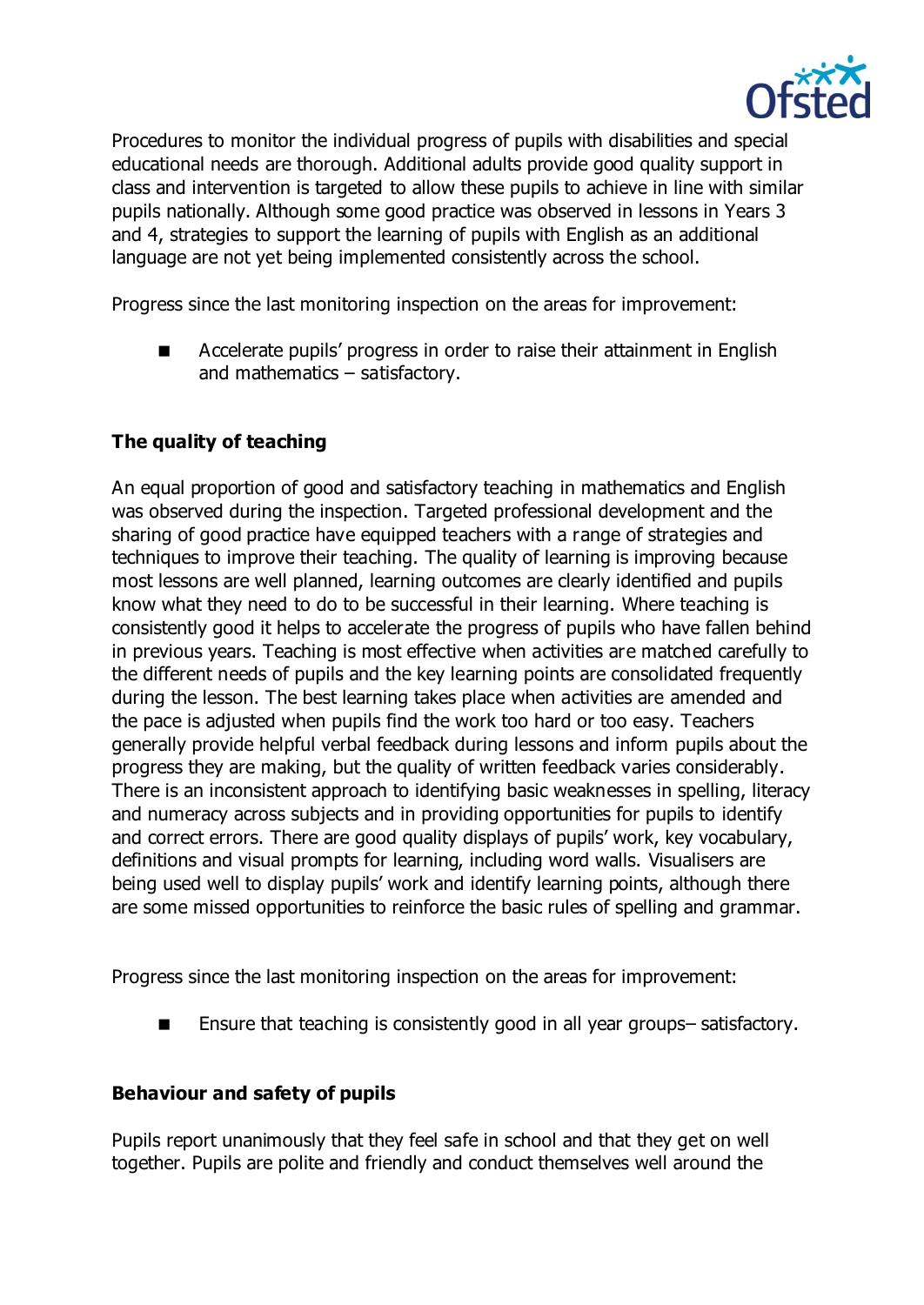

Procedures to monitor the individual progress of pupils with disabilities and special educational needs are thorough. Additional adults provide good quality support in class and intervention is targeted to allow these pupils to achieve in line with similar pupils nationally. Although some good practice was observed in lessons in Years 3 and 4, strategies to support the learning of pupils with English as an additional language are not yet being implemented consistently across the school.

Progress since the last monitoring inspection on the areas for improvement:

 Accelerate pupils' progress in order to raise their attainment in English and mathematics – satisfactory.

## **The quality of teaching**

An equal proportion of good and satisfactory teaching in mathematics and English was observed during the inspection. Targeted professional development and the sharing of good practice have equipped teachers with a range of strategies and techniques to improve their teaching. The quality of learning is improving because most lessons are well planned, learning outcomes are clearly identified and pupils know what they need to do to be successful in their learning. Where teaching is consistently good it helps to accelerate the progress of pupils who have fallen behind in previous years. Teaching is most effective when activities are matched carefully to the different needs of pupils and the key learning points are consolidated frequently during the lesson. The best learning takes place when activities are amended and the pace is adjusted when pupils find the work too hard or too easy. Teachers generally provide helpful verbal feedback during lessons and inform pupils about the progress they are making, but the quality of written feedback varies considerably. There is an inconsistent approach to identifying basic weaknesses in spelling, literacy and numeracy across subjects and in providing opportunities for pupils to identify and correct errors. There are good quality displays of pupils' work, key vocabulary, definitions and visual prompts for learning, including word walls. Visualisers are being used well to display pupils' work and identify learning points, although there are some missed opportunities to reinforce the basic rules of spelling and grammar.

Progress since the last monitoring inspection on the areas for improvement:

■ Ensure that teaching is consistently good in all year groups–satisfactory.

#### **Behaviour and safety of pupils**

Pupils report unanimously that they feel safe in school and that they get on well together. Pupils are polite and friendly and conduct themselves well around the